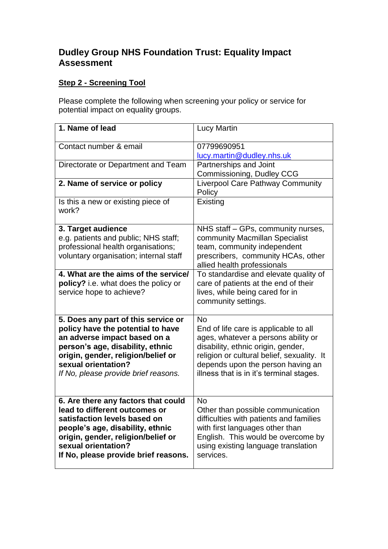## **Dudley Group NHS Foundation Trust: Equality Impact Assessment**

## **Step 2 - Screening Tool**

Please complete the following when screening your policy or service for potential impact on equality groups.

| 1. Name of lead                                                                                                                                                                                                                                   | <b>Lucy Martin</b>                                                                                                                                                                                                                                             |
|---------------------------------------------------------------------------------------------------------------------------------------------------------------------------------------------------------------------------------------------------|----------------------------------------------------------------------------------------------------------------------------------------------------------------------------------------------------------------------------------------------------------------|
| Contact number & email                                                                                                                                                                                                                            | 07799690951<br>lucy.martin@dudley.nhs.uk                                                                                                                                                                                                                       |
| Directorate or Department and Team                                                                                                                                                                                                                | Partnerships and Joint<br><b>Commissioning, Dudley CCG</b>                                                                                                                                                                                                     |
| 2. Name of service or policy                                                                                                                                                                                                                      | <b>Liverpool Care Pathway Community</b><br>Policy                                                                                                                                                                                                              |
| Is this a new or existing piece of<br>work?                                                                                                                                                                                                       | Existing                                                                                                                                                                                                                                                       |
| 3. Target audience<br>e.g. patients and public; NHS staff;<br>professional health organisations;<br>voluntary organisation; internal staff                                                                                                        | NHS staff - GPs, community nurses,<br>community Macmillan Specialist<br>team, community independent<br>prescribers, community HCAs, other<br>allied health professionals                                                                                       |
| 4. What are the aims of the service/<br>policy? i.e. what does the policy or<br>service hope to achieve?                                                                                                                                          | To standardise and elevate quality of<br>care of patients at the end of their<br>lives, while being cared for in<br>community settings.                                                                                                                        |
| 5. Does any part of this service or<br>policy have the potential to have<br>an adverse impact based on a<br>person's age, disability, ethnic<br>origin, gender, religion/belief or<br>sexual orientation?<br>If No, please provide brief reasons. | <b>No</b><br>End of life care is applicable to all<br>ages, whatever a persons ability or<br>disability, ethnic origin, gender,<br>religion or cultural belief, sexuality. It<br>depends upon the person having an<br>illness that is in it's terminal stages. |
| 6. Are there any factors that could<br>lead to different outcomes or<br>satisfaction levels based on<br>people's age, disability, ethnic<br>origin, gender, religion/belief or<br>sexual orientation?<br>If No, please provide brief reasons.     | <b>No</b><br>Other than possible communication<br>difficulties with patients and families<br>with first languages other than<br>English. This would be overcome by<br>using existing language translation<br>services.                                         |